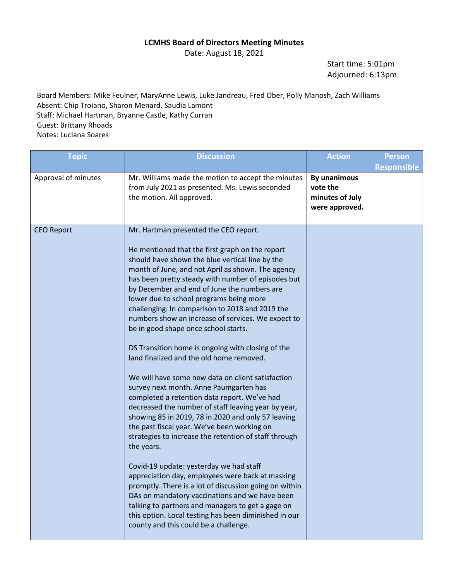## **LCMHS Board of Directors Meeting Minutes**

Date: August 18, 2021

Start time: 5:01pm Adjourned: 6:13pm

Board Members: Mike Feulner, MaryAnne Lewis, Luke Jandreau, Fred Ober, Polly Manosh, Zach Williams Absent: Chip Troiano, Sharon Menard, Saudia Lamont Staff: Michael Hartman, Bryanne Castle, Kathy Curran Guest: Brittany Rhoads Notes: Luciana Soares

| <b>Topic</b>        | <b>Discussion</b>                                                                                                                                                                                                                                                                                                                                                                                                                                                                                                                                                                                                                                                                                                                                                                                                                                                                                                                                                                                                                                                                                                                                                                                                                                                                                                                                      | <b>Action</b>                                                 | <b>Person</b><br><b>Responsible</b> |
|---------------------|--------------------------------------------------------------------------------------------------------------------------------------------------------------------------------------------------------------------------------------------------------------------------------------------------------------------------------------------------------------------------------------------------------------------------------------------------------------------------------------------------------------------------------------------------------------------------------------------------------------------------------------------------------------------------------------------------------------------------------------------------------------------------------------------------------------------------------------------------------------------------------------------------------------------------------------------------------------------------------------------------------------------------------------------------------------------------------------------------------------------------------------------------------------------------------------------------------------------------------------------------------------------------------------------------------------------------------------------------------|---------------------------------------------------------------|-------------------------------------|
| Approval of minutes | Mr. Williams made the motion to accept the minutes<br>from July 2021 as presented. Ms. Lewis seconded<br>the motion. All approved.                                                                                                                                                                                                                                                                                                                                                                                                                                                                                                                                                                                                                                                                                                                                                                                                                                                                                                                                                                                                                                                                                                                                                                                                                     | By unanimous<br>vote the<br>minutes of July<br>were approved. |                                     |
| <b>CEO Report</b>   | Mr. Hartman presented the CEO report.<br>He mentioned that the first graph on the report<br>should have shown the blue vertical line by the<br>month of June, and not April as shown. The agency<br>has been pretty steady with number of episodes but<br>by December and end of June the numbers are<br>lower due to school programs being more<br>challenging. In comparison to 2018 and 2019 the<br>numbers show an increase of services. We expect to<br>be in good shape once school starts.<br>DS Transition home is ongoing with closing of the<br>land finalized and the old home removed.<br>We will have some new data on client satisfaction<br>survey next month. Anne Paumgarten has<br>completed a retention data report. We've had<br>decreased the number of staff leaving year by year,<br>showing 85 in 2019, 78 in 2020 and only 57 leaving<br>the past fiscal year. We've been working on<br>strategies to increase the retention of staff through<br>the years.<br>Covid-19 update: yesterday we had staff<br>appreciation day, employees were back at masking<br>promptly. There is a lot of discussion going on within<br>DAs on mandatory vaccinations and we have been<br>talking to partners and managers to get a gage on<br>this option. Local testing has been diminished in our<br>county and this could be a challenge. |                                                               |                                     |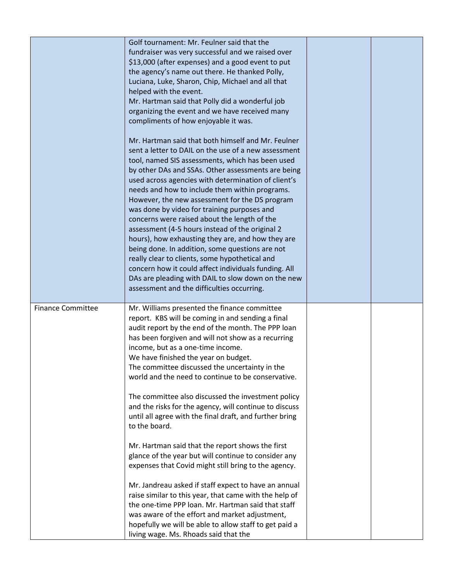|                          | Golf tournament: Mr. Feulner said that the<br>fundraiser was very successful and we raised over<br>\$13,000 (after expenses) and a good event to put<br>the agency's name out there. He thanked Polly,<br>Luciana, Luke, Sharon, Chip, Michael and all that<br>helped with the event.<br>Mr. Hartman said that Polly did a wonderful job<br>organizing the event and we have received many<br>compliments of how enjoyable it was.<br>Mr. Hartman said that both himself and Mr. Feulner<br>sent a letter to DAIL on the use of a new assessment<br>tool, named SIS assessments, which has been used<br>by other DAs and SSAs. Other assessments are being<br>used across agencies with determination of client's<br>needs and how to include them within programs.<br>However, the new assessment for the DS program<br>was done by video for training purposes and<br>concerns were raised about the length of the<br>assessment (4-5 hours instead of the original 2<br>hours), how exhausting they are, and how they are<br>being done. In addition, some questions are not<br>really clear to clients, some hypothetical and<br>concern how it could affect individuals funding. All<br>DAs are pleading with DAIL to slow down on the new<br>assessment and the difficulties occurring. |  |
|--------------------------|-----------------------------------------------------------------------------------------------------------------------------------------------------------------------------------------------------------------------------------------------------------------------------------------------------------------------------------------------------------------------------------------------------------------------------------------------------------------------------------------------------------------------------------------------------------------------------------------------------------------------------------------------------------------------------------------------------------------------------------------------------------------------------------------------------------------------------------------------------------------------------------------------------------------------------------------------------------------------------------------------------------------------------------------------------------------------------------------------------------------------------------------------------------------------------------------------------------------------------------------------------------------------------------------------|--|
| <b>Finance Committee</b> | Mr. Williams presented the finance committee<br>report. KBS will be coming in and sending a final<br>audit report by the end of the month. The PPP loan<br>has been forgiven and will not show as a recurring<br>income, but as a one-time income.<br>We have finished the year on budget.<br>The committee discussed the uncertainty in the<br>world and the need to continue to be conservative.                                                                                                                                                                                                                                                                                                                                                                                                                                                                                                                                                                                                                                                                                                                                                                                                                                                                                            |  |
|                          | The committee also discussed the investment policy<br>and the risks for the agency, will continue to discuss<br>until all agree with the final draft, and further bring<br>to the board.                                                                                                                                                                                                                                                                                                                                                                                                                                                                                                                                                                                                                                                                                                                                                                                                                                                                                                                                                                                                                                                                                                      |  |
|                          | Mr. Hartman said that the report shows the first<br>glance of the year but will continue to consider any<br>expenses that Covid might still bring to the agency.                                                                                                                                                                                                                                                                                                                                                                                                                                                                                                                                                                                                                                                                                                                                                                                                                                                                                                                                                                                                                                                                                                                              |  |
|                          | Mr. Jandreau asked if staff expect to have an annual<br>raise similar to this year, that came with the help of<br>the one-time PPP loan. Mr. Hartman said that staff<br>was aware of the effort and market adjustment,<br>hopefully we will be able to allow staff to get paid a<br>living wage. Ms. Rhoads said that the                                                                                                                                                                                                                                                                                                                                                                                                                                                                                                                                                                                                                                                                                                                                                                                                                                                                                                                                                                     |  |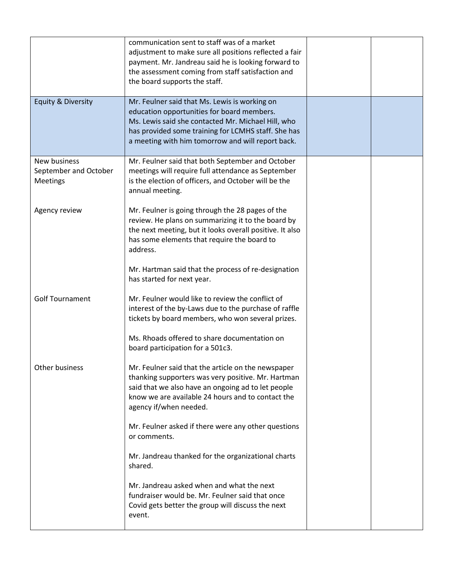|                                                   | communication sent to staff was of a market<br>adjustment to make sure all positions reflected a fair<br>payment. Mr. Jandreau said he is looking forward to<br>the assessment coming from staff satisfaction and<br>the board supports the staff.            |  |
|---------------------------------------------------|---------------------------------------------------------------------------------------------------------------------------------------------------------------------------------------------------------------------------------------------------------------|--|
| Equity & Diversity                                | Mr. Feulner said that Ms. Lewis is working on<br>education opportunities for board members.<br>Ms. Lewis said she contacted Mr. Michael Hill, who<br>has provided some training for LCMHS staff. She has<br>a meeting with him tomorrow and will report back. |  |
| New business<br>September and October<br>Meetings | Mr. Feulner said that both September and October<br>meetings will require full attendance as September<br>is the election of officers, and October will be the<br>annual meeting.                                                                             |  |
| Agency review                                     | Mr. Feulner is going through the 28 pages of the<br>review. He plans on summarizing it to the board by<br>the next meeting, but it looks overall positive. It also<br>has some elements that require the board to<br>address.                                 |  |
|                                                   | Mr. Hartman said that the process of re-designation<br>has started for next year.                                                                                                                                                                             |  |
| <b>Golf Tournament</b>                            | Mr. Feulner would like to review the conflict of<br>interest of the by-Laws due to the purchase of raffle<br>tickets by board members, who won several prizes.                                                                                                |  |
|                                                   | Ms. Rhoads offered to share documentation on<br>board participation for a 501c3.                                                                                                                                                                              |  |
| Other business                                    | Mr. Feulner said that the article on the newspaper<br>thanking supporters was very positive. Mr. Hartman<br>said that we also have an ongoing ad to let people<br>know we are available 24 hours and to contact the<br>agency if/when needed.                 |  |
|                                                   | Mr. Feulner asked if there were any other questions<br>or comments.                                                                                                                                                                                           |  |
|                                                   | Mr. Jandreau thanked for the organizational charts<br>shared.                                                                                                                                                                                                 |  |
|                                                   | Mr. Jandreau asked when and what the next<br>fundraiser would be. Mr. Feulner said that once<br>Covid gets better the group will discuss the next<br>event.                                                                                                   |  |